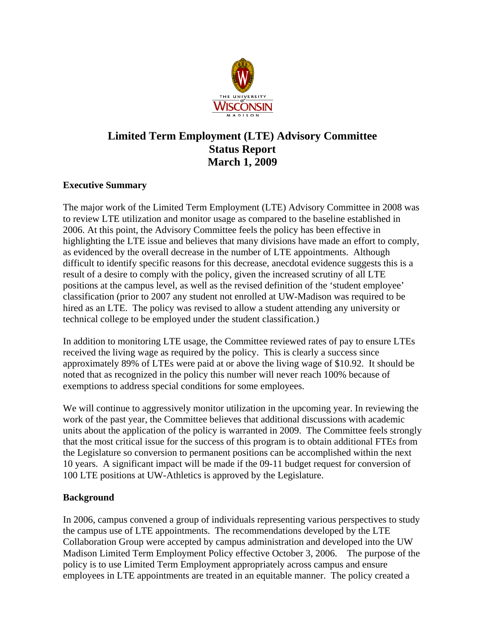

# **Limited Term Employment (LTE) Advisory Committee Status Report March 1, 2009**

## **Executive Summary**

The major work of the Limited Term Employment (LTE) Advisory Committee in 2008 was to review LTE utilization and monitor usage as compared to the baseline established in 2006. At this point, the Advisory Committee feels the policy has been effective in highlighting the LTE issue and believes that many divisions have made an effort to comply, as evidenced by the overall decrease in the number of LTE appointments. Although difficult to identify specific reasons for this decrease, anecdotal evidence suggests this is a result of a desire to comply with the policy, given the increased scrutiny of all LTE positions at the campus level, as well as the revised definition of the 'student employee' classification (prior to 2007 any student not enrolled at UW-Madison was required to be hired as an LTE. The policy was revised to allow a student attending any university or technical college to be employed under the student classification.)

In addition to monitoring LTE usage, the Committee reviewed rates of pay to ensure LTEs received the living wage as required by the policy. This is clearly a success since approximately 89% of LTEs were paid at or above the living wage of \$10.92. It should be noted that as recognized in the policy this number will never reach 100% because of exemptions to address special conditions for some employees.

We will continue to aggressively monitor utilization in the upcoming year. In reviewing the work of the past year, the Committee believes that additional discussions with academic units about the application of the policy is warranted in 2009. The Committee feels strongly that the most critical issue for the success of this program is to obtain additional FTEs from the Legislature so conversion to permanent positions can be accomplished within the next 10 years. A significant impact will be made if the 09-11 budget request for conversion of 100 LTE positions at UW-Athletics is approved by the Legislature.

## **Background**

In 2006, campus convened a group of individuals representing various perspectives to study the campus use of LTE appointments. The recommendations developed by the LTE Collaboration Group were accepted by campus administration and developed into the UW Madison Limited Term Employment Policy effective October 3, 2006. The purpose of the policy is to use Limited Term Employment appropriately across campus and ensure employees in LTE appointments are treated in an equitable manner. The policy created a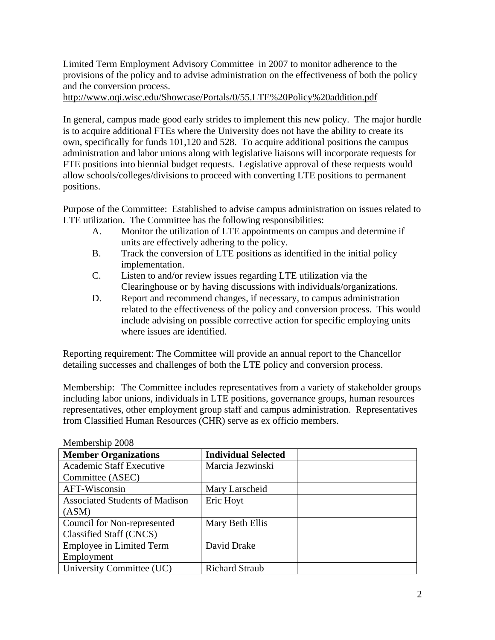Limited Term Employment Advisory Committee in 2007 to monitor adherence to the provisions of the policy and to advise administration on the effectiveness of both the policy and the conversion process.

http://www.oqi.wisc.edu/Showcase/Portals/0/55.LTE%20Policy%20addition.pdf

In general, campus made good early strides to implement this new policy. The major hurdle is to acquire additional FTEs where the University does not have the ability to create its own, specifically for funds 101,120 and 528. To acquire additional positions the campus administration and labor unions along with legislative liaisons will incorporate requests for FTE positions into biennial budget requests. Legislative approval of these requests would allow schools/colleges/divisions to proceed with converting LTE positions to permanent positions.

Purpose of the Committee: Established to advise campus administration on issues related to LTE utilization. The Committee has the following responsibilities:

- A. Monitor the utilization of LTE appointments on campus and determine if units are effectively adhering to the policy.
- B. Track the conversion of LTE positions as identified in the initial policy implementation.
- C. Listen to and/or review issues regarding LTE utilization via the Clearinghouse or by having discussions with individuals/organizations.
- D. Report and recommend changes, if necessary, to campus administration related to the effectiveness of the policy and conversion process. This would include advising on possible corrective action for specific employing units where issues are identified.

Reporting requirement: The Committee will provide an annual report to the Chancellor detailing successes and challenges of both the LTE policy and conversion process.

Membership: The Committee includes representatives from a variety of stakeholder groups including labor unions, individuals in LTE positions, governance groups, human resources representatives, other employment group staff and campus administration. Representatives from Classified Human Resources (CHR) serve as ex officio members.

| <b>Member Organizations</b>           | <b>Individual Selected</b> |  |
|---------------------------------------|----------------------------|--|
| <b>Academic Staff Executive</b>       | Marcia Jezwinski           |  |
| Committee (ASEC)                      |                            |  |
| AFT-Wisconsin                         | Mary Larscheid             |  |
| <b>Associated Students of Madison</b> | Eric Hoyt                  |  |
| (ASM)                                 |                            |  |
| Council for Non-represented           | Mary Beth Ellis            |  |
| Classified Staff (CNCS)               |                            |  |
| <b>Employee in Limited Term</b>       | David Drake                |  |
| Employment                            |                            |  |
| University Committee (UC)             | <b>Richard Straub</b>      |  |

Membership 2008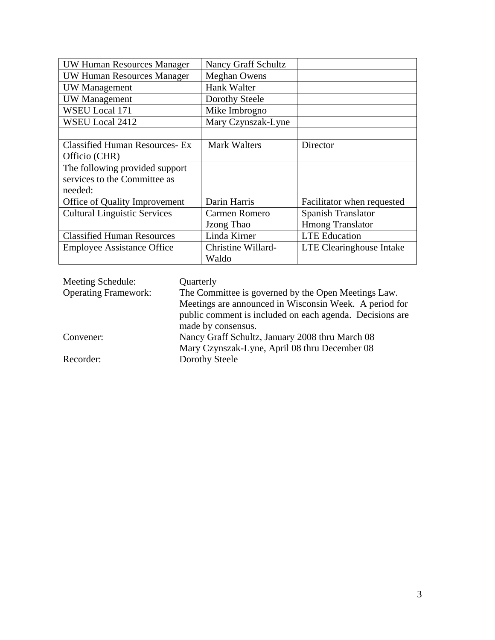| UW Human Resources Manager            | <b>Nancy Graff Schultz</b> |                            |
|---------------------------------------|----------------------------|----------------------------|
| <b>UW Human Resources Manager</b>     | <b>Meghan Owens</b>        |                            |
| <b>UW</b> Management                  | Hank Walter                |                            |
| <b>UW</b> Management                  | Dorothy Steele             |                            |
| WSEU Local 171                        | Mike Imbrogno              |                            |
| WSEU Local 2412                       | Mary Czynszak-Lyne         |                            |
|                                       |                            |                            |
| <b>Classified Human Resources- Ex</b> | <b>Mark Walters</b>        | Director                   |
| Officio (CHR)                         |                            |                            |
| The following provided support        |                            |                            |
| services to the Committee as          |                            |                            |
| needed:                               |                            |                            |
| Office of Quality Improvement         | Darin Harris               | Facilitator when requested |
| <b>Cultural Linguistic Services</b>   | Carmen Romero              | Spanish Translator         |
|                                       | Jzong Thao                 | <b>Hmong Translator</b>    |
| <b>Classified Human Resources</b>     | Linda Kirner               | <b>LTE</b> Education       |
| <b>Employee Assistance Office</b>     | Christine Willard-         | LTE Clearinghouse Intake   |
|                                       | Waldo                      |                            |

| Meeting Schedule:           | Quarterly                                                |
|-----------------------------|----------------------------------------------------------|
| <b>Operating Framework:</b> | The Committee is governed by the Open Meetings Law.      |
|                             | Meetings are announced in Wisconsin Week. A period for   |
|                             | public comment is included on each agenda. Decisions are |
|                             | made by consensus.                                       |
| Convener:                   | Nancy Graff Schultz, January 2008 thru March 08          |
|                             | Mary Czynszak-Lyne, April 08 thru December 08            |
| Recorder:                   | Dorothy Steele                                           |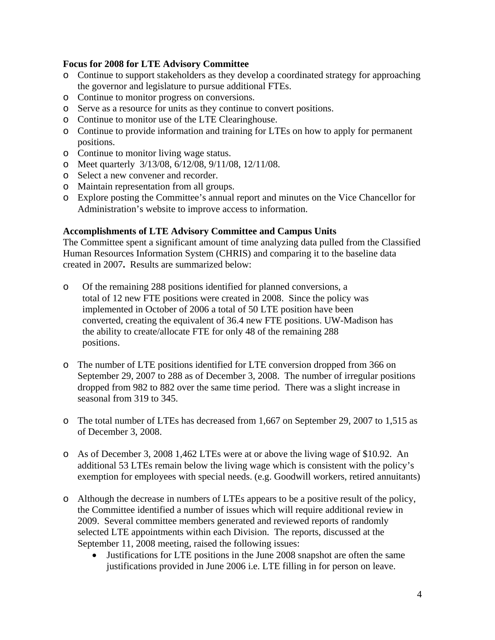### **Focus for 2008 for LTE Advisory Committee**

- o Continue to support stakeholders as they develop a coordinated strategy for approaching the governor and legislature to pursue additional FTEs.
- o Continue to monitor progress on conversions.
- o Serve as a resource for units as they continue to convert positions.
- o Continue to monitor use of the LTE Clearinghouse.
- o Continue to provide information and training for LTEs on how to apply for permanent positions.
- o Continue to monitor living wage status.
- o Meet quarterly 3/13/08, 6/12/08, 9/11/08, 12/11/08.
- o Select a new convener and recorder.
- o Maintain representation from all groups.
- o Explore posting the Committee's annual report and minutes on the Vice Chancellor for Administration's website to improve access to information.

#### **Accomplishments of LTE Advisory Committee and Campus Units**

The Committee spent a significant amount of time analyzing data pulled from the Classified Human Resources Information System (CHRIS) and comparing it to the baseline data created in 2007**.** Results are summarized below:

- o Of the remaining 288 positions identified for planned conversions, a total of 12 new FTE positions were created in 2008. Since the policy was implemented in October of 2006 a total of 50 LTE position have been converted, creating the equivalent of 36.4 new FTE positions. UW-Madison has the ability to create/allocate FTE for only 48 of the remaining 288 positions.
- o The number of LTE positions identified for LTE conversion dropped from 366 on September 29, 2007 to 288 as of December 3, 2008. The number of irregular positions dropped from 982 to 882 over the same time period. There was a slight increase in seasonal from 319 to 345.
- o The total number of LTEs has decreased from 1,667 on September 29, 2007 to 1,515 as of December 3, 2008.
- o As of December 3, 2008 1,462 LTEs were at or above the living wage of \$10.92. An additional 53 LTEs remain below the living wage which is consistent with the policy's exemption for employees with special needs. (e.g. Goodwill workers, retired annuitants)
- o Although the decrease in numbers of LTEs appears to be a positive result of the policy, the Committee identified a number of issues which will require additional review in 2009. Several committee members generated and reviewed reports of randomly selected LTE appointments within each Division. The reports, discussed at the September 11, 2008 meeting, raised the following issues:
	- Justifications for LTE positions in the June 2008 snapshot are often the same justifications provided in June 2006 i.e. LTE filling in for person on leave.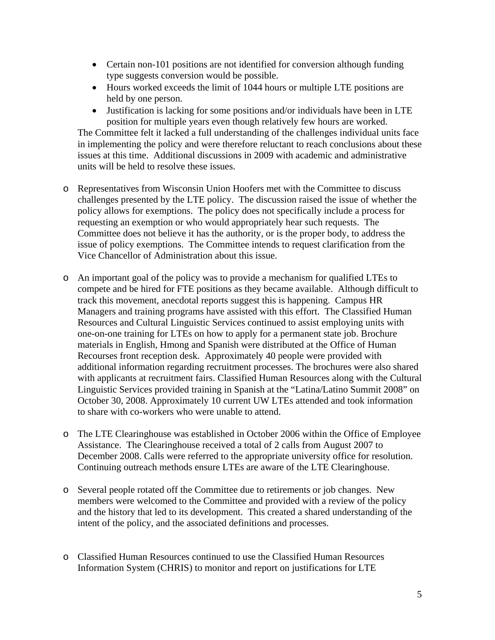- Certain non-101 positions are not identified for conversion although funding type suggests conversion would be possible.
- Hours worked exceeds the limit of 1044 hours or multiple LTE positions are held by one person.
- Justification is lacking for some positions and/or individuals have been in LTE position for multiple years even though relatively few hours are worked.

The Committee felt it lacked a full understanding of the challenges individual units face in implementing the policy and were therefore reluctant to reach conclusions about these issues at this time. Additional discussions in 2009 with academic and administrative units will be held to resolve these issues.

- o Representatives from Wisconsin Union Hoofers met with the Committee to discuss challenges presented by the LTE policy. The discussion raised the issue of whether the policy allows for exemptions. The policy does not specifically include a process for requesting an exemption or who would appropriately hear such requests. The Committee does not believe it has the authority, or is the proper body, to address the issue of policy exemptions. The Committee intends to request clarification from the Vice Chancellor of Administration about this issue.
- o An important goal of the policy was to provide a mechanism for qualified LTEs to compete and be hired for FTE positions as they became available. Although difficult to track this movement, anecdotal reports suggest this is happening. Campus HR Managers and training programs have assisted with this effort. The Classified Human Resources and Cultural Linguistic Services continued to assist employing units with one-on-one training for LTEs on how to apply for a permanent state job. Brochure materials in English, Hmong and Spanish were distributed at the Office of Human Recourses front reception desk. Approximately 40 people were provided with additional information regarding recruitment processes. The brochures were also shared with applicants at recruitment fairs. Classified Human Resources along with the Cultural Linguistic Services provided training in Spanish at the "Latina/Latino Summit 2008" on October 30, 2008. Approximately 10 current UW LTEs attended and took information to share with co-workers who were unable to attend.
- o The LTE Clearinghouse was established in October 2006 within the Office of Employee Assistance. The Clearinghouse received a total of 2 calls from August 2007 to December 2008. Calls were referred to the appropriate university office for resolution. Continuing outreach methods ensure LTEs are aware of the LTE Clearinghouse.
- o Several people rotated off the Committee due to retirements or job changes. New members were welcomed to the Committee and provided with a review of the policy and the history that led to its development. This created a shared understanding of the intent of the policy, and the associated definitions and processes.
- o Classified Human Resources continued to use the Classified Human Resources Information System (CHRIS) to monitor and report on justifications for LTE